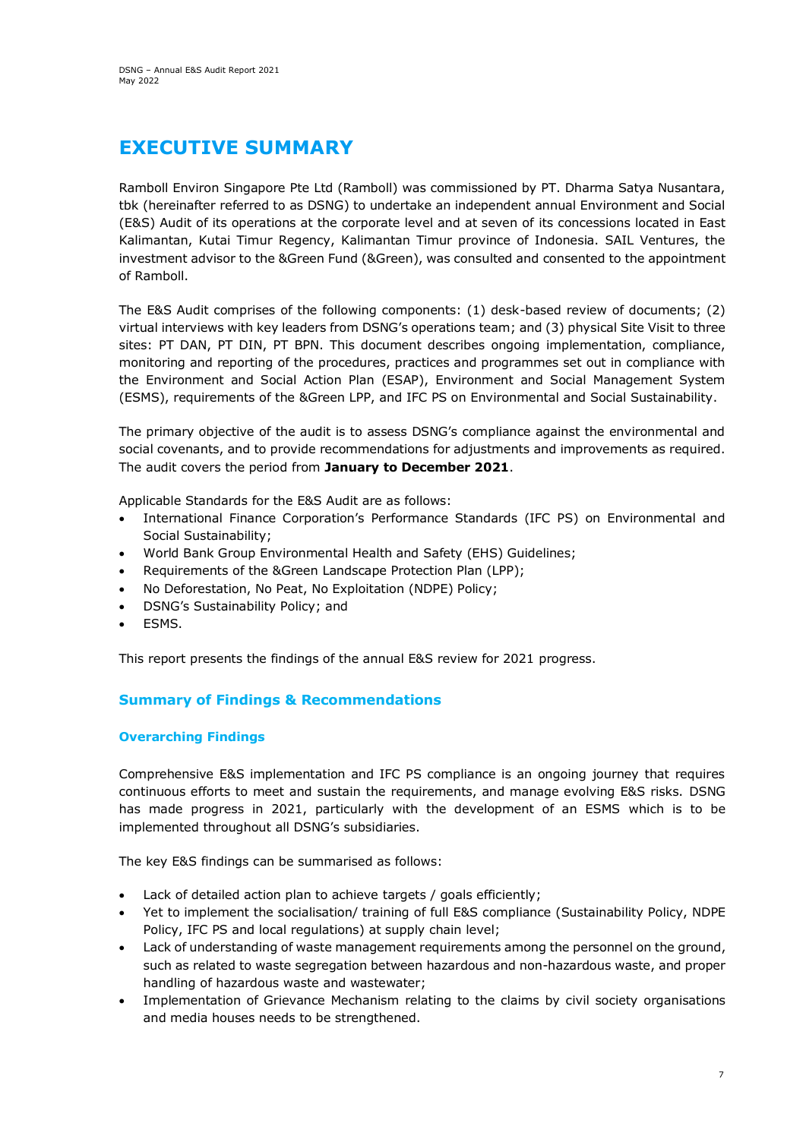# **EXECUTIVE SUMMARY**

Ramboll Environ Singapore Pte Ltd (Ramboll) was commissioned by PT. Dharma Satya Nusantara, tbk (hereinafter referred to as DSNG) to undertake an independent annual Environment and Social (E&S) Audit of its operations at the corporate level and at seven of its concessions located in East Kalimantan, Kutai Timur Regency, Kalimantan Timur province of Indonesia. SAIL Ventures, the investment advisor to the &Green Fund (&Green), was consulted and consented to the appointment of Ramboll.

The E&S Audit comprises of the following components: (1) desk-based review of documents; (2) virtual interviews with key leaders from DSNG's operations team; and (3) physical Site Visit to three sites: PT DAN, PT DIN, PT BPN. This document describes ongoing implementation, compliance, monitoring and reporting of the procedures, practices and programmes set out in compliance with the Environment and Social Action Plan (ESAP), Environment and Social Management System (ESMS), requirements of the &Green LPP, and IFC PS on Environmental and Social Sustainability.

The primary objective of the audit is to assess DSNG's compliance against the environmental and social covenants, and to provide recommendations for adjustments and improvements as required. The audit covers the period from **January to December 2021**.

Applicable Standards for the E&S Audit are as follows:

- International Finance Corporation's Performance Standards (IFC PS) on Environmental and Social Sustainability;
- World Bank Group Environmental Health and Safety (EHS) Guidelines;
- Requirements of the &Green Landscape Protection Plan (LPP);
- No Deforestation, No Peat, No Exploitation (NDPE) Policy;
- DSNG's Sustainability Policy; and
- ESMS.

This report presents the findings of the annual E&S review for 2021 progress.

## **Summary of Findings & Recommendations**

## **Overarching Findings**

Comprehensive E&S implementation and IFC PS compliance is an ongoing journey that requires continuous efforts to meet and sustain the requirements, and manage evolving E&S risks. DSNG has made progress in 2021, particularly with the development of an ESMS which is to be implemented throughout all DSNG's subsidiaries.

The key E&S findings can be summarised as follows:

- Lack of detailed action plan to achieve targets / goals efficiently;
- Yet to implement the socialisation/ training of full E&S compliance (Sustainability Policy, NDPE Policy, IFC PS and local regulations) at supply chain level;
- Lack of understanding of waste management requirements among the personnel on the ground, such as related to waste segregation between hazardous and non-hazardous waste, and proper handling of hazardous waste and wastewater;
- Implementation of Grievance Mechanism relating to the claims by civil society organisations and media houses needs to be strengthened.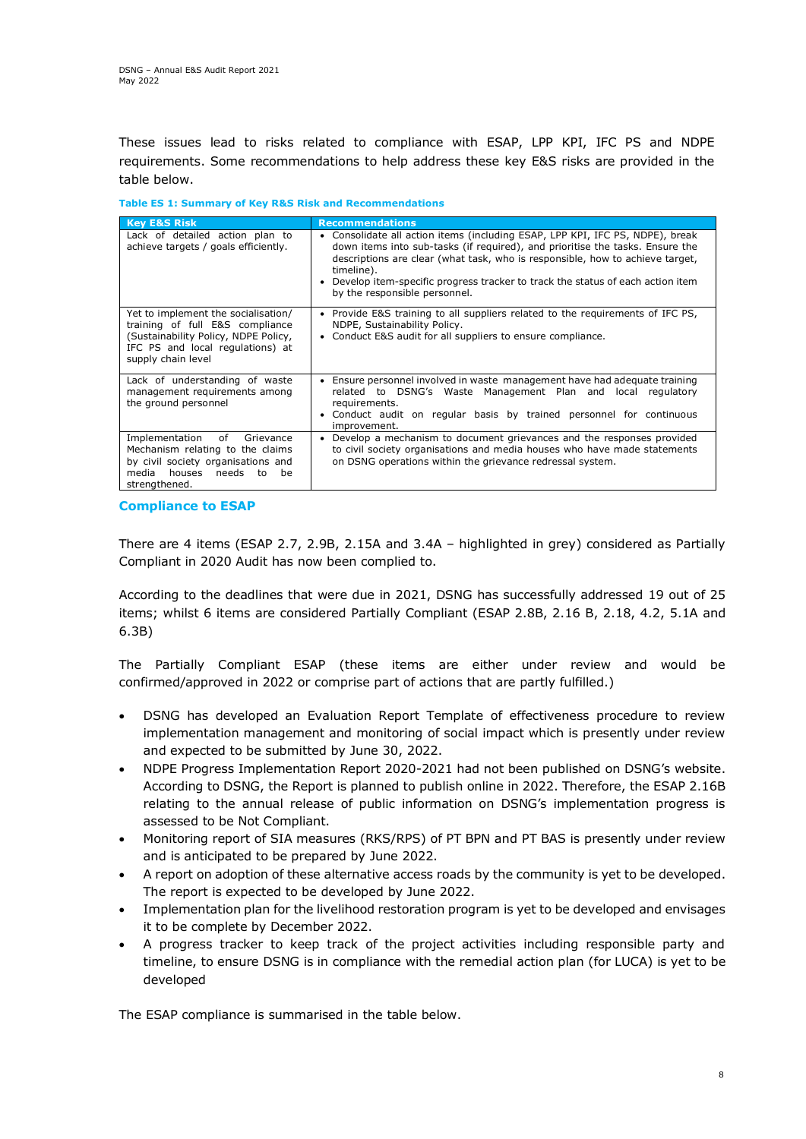These issues lead to risks related to compliance with ESAP, LPP KPI, IFC PS and NDPE requirements. Some recommendations to help address these key E&S risks are provided in the table below.

**Table ES 1: Summary of Key R&S Risk and Recommendations** 

| <b>Key E&amp;S Risk</b>                                                                                                                                                  | <b>Recommendations</b>                                                                                                                                                                                                                                                                                                                                                         |
|--------------------------------------------------------------------------------------------------------------------------------------------------------------------------|--------------------------------------------------------------------------------------------------------------------------------------------------------------------------------------------------------------------------------------------------------------------------------------------------------------------------------------------------------------------------------|
| Lack of detailed action plan to<br>achieve targets / goals efficiently.                                                                                                  | Consolidate all action items (including ESAP, LPP KPI, IFC PS, NDPE), break<br>down items into sub-tasks (if required), and prioritise the tasks. Ensure the<br>descriptions are clear (what task, who is responsible, how to achieve target,<br>timeline).<br>Develop item-specific progress tracker to track the status of each action item<br>by the responsible personnel. |
| Yet to implement the socialisation/<br>training of full E&S compliance<br>(Sustainability Policy, NDPE Policy,<br>IFC PS and local regulations) at<br>supply chain level | • Provide E&S training to all suppliers related to the requirements of IFC PS,<br>NDPE, Sustainability Policy.<br>• Conduct E&S audit for all suppliers to ensure compliance.                                                                                                                                                                                                  |
| Lack of understanding of waste<br>management requirements among<br>the ground personnel                                                                                  | Ensure personnel involved in waste management have had adequate training<br>$\bullet$<br>related to DSNG's Waste Management Plan and local regulatory<br>requirements.<br>Conduct audit on regular basis by trained personnel for continuous<br>improvement.                                                                                                                   |
| of<br>Implementation<br>Grievance<br>Mechanism relating to the claims<br>by civil society organisations and<br>media<br>houses<br>needs to<br>be<br>strengthened.        | Develop a mechanism to document grievances and the responses provided<br>$\bullet$<br>to civil society organisations and media houses who have made statements<br>on DSNG operations within the grievance redressal system.                                                                                                                                                    |

## **Compliance to ESAP**

There are 4 items (ESAP 2.7, 2.9B, 2.15A and 3.4A – highlighted in grey) considered as Partially Compliant in 2020 Audit has now been complied to.

According to the deadlines that were due in 2021, DSNG has successfully addressed 19 out of 25 items; whilst 6 items are considered Partially Compliant (ESAP 2.8B, 2.16 B, 2.18, 4.2, 5.1A and 6.3B)

The Partially Compliant ESAP (these items are either under review and would be confirmed/approved in 2022 or comprise part of actions that are partly fulfilled.)

- DSNG has developed an Evaluation Report Template of effectiveness procedure to review implementation management and monitoring of social impact which is presently under review and expected to be submitted by June 30, 2022.
- NDPE Progress Implementation Report 2020-2021 had not been published on DSNG's website. According to DSNG, the Report is planned to publish online in 2022. Therefore, the ESAP 2.16B relating to the annual release of public information on DSNG's implementation progress is assessed to be Not Compliant.
- Monitoring report of SIA measures (RKS/RPS) of PT BPN and PT BAS is presently under review and is anticipated to be prepared by June 2022.
- A report on adoption of these alternative access roads by the community is yet to be developed. The report is expected to be developed by June 2022.
- Implementation plan for the livelihood restoration program is yet to be developed and envisages it to be complete by December 2022.
- A progress tracker to keep track of the project activities including responsible party and timeline, to ensure DSNG is in compliance with the remedial action plan (for LUCA) is yet to be developed

The ESAP compliance is summarised in the table below.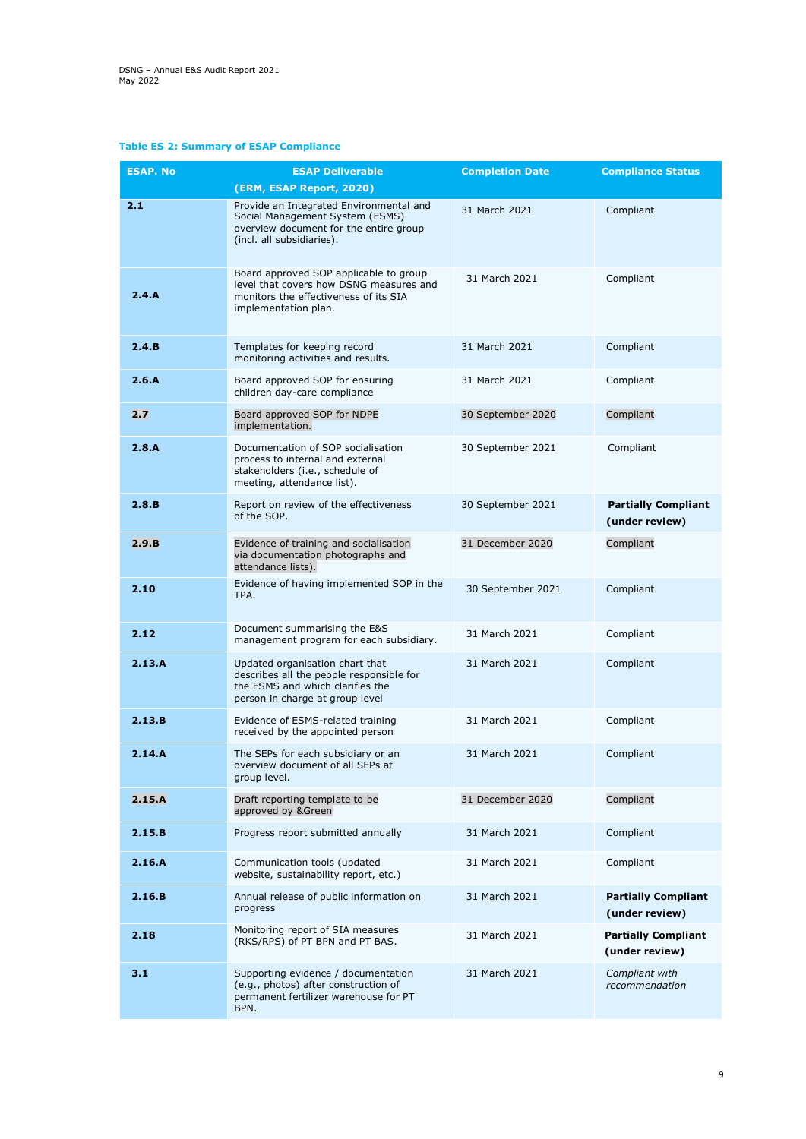## **Table ES 2: Summary of ESAP Compliance**

| <b>ESAP. No</b> | <b>ESAP Deliverable</b>                                                                                                                            | <b>Completion Date</b> | <b>Compliance Status</b>                     |
|-----------------|----------------------------------------------------------------------------------------------------------------------------------------------------|------------------------|----------------------------------------------|
|                 | (ERM, ESAP Report, 2020)                                                                                                                           |                        |                                              |
| 2.1             | Provide an Integrated Environmental and<br>Social Management System (ESMS)<br>overview document for the entire group<br>(incl. all subsidiaries).  | 31 March 2021          | Compliant                                    |
| 2.4.A           | Board approved SOP applicable to group<br>level that covers how DSNG measures and<br>monitors the effectiveness of its SIA<br>implementation plan. | 31 March 2021          | Compliant                                    |
| 2.4.B           | Templates for keeping record<br>monitoring activities and results.                                                                                 | 31 March 2021          | Compliant                                    |
| 2.6.A           | Board approved SOP for ensuring<br>children day-care compliance                                                                                    | 31 March 2021          | Compliant                                    |
| 2.7             | Board approved SOP for NDPE<br>implementation.                                                                                                     | 30 September 2020      | Compliant                                    |
| 2.8.A           | Documentation of SOP socialisation<br>process to internal and external<br>stakeholders (i.e., schedule of<br>meeting, attendance list).            | 30 September 2021      | Compliant                                    |
| 2.8.B           | Report on review of the effectiveness<br>of the SOP.                                                                                               | 30 September 2021      | <b>Partially Compliant</b><br>(under review) |
| 2.9.B           | Evidence of training and socialisation<br>via documentation photographs and<br>attendance lists).                                                  | 31 December 2020       | Compliant                                    |
| 2.10            | Evidence of having implemented SOP in the<br>TPA.                                                                                                  | 30 September 2021      | Compliant                                    |
| 2.12            | Document summarising the E&S<br>management program for each subsidiary.                                                                            | 31 March 2021          | Compliant                                    |
| 2.13.A          | Updated organisation chart that<br>describes all the people responsible for<br>the ESMS and which clarifies the<br>person in charge at group level | 31 March 2021          | Compliant                                    |
| 2.13.B          | Evidence of ESMS-related training<br>received by the appointed person                                                                              | 31 March 2021          | Compliant                                    |
| 2.14.A          | The SEPs for each subsidiary or an<br>overview document of all SEPs at<br>group level.                                                             | 31 March 2021          | Compliant                                    |
| 2.15.A          | Draft reporting template to be<br>approved by &Green                                                                                               | 31 December 2020       | Compliant                                    |
| 2.15.B          | Progress report submitted annually                                                                                                                 | 31 March 2021          | Compliant                                    |
| 2.16.A          | Communication tools (updated<br>website, sustainability report, etc.)                                                                              | 31 March 2021          | Compliant                                    |
| 2.16.B          | Annual release of public information on<br>progress                                                                                                | 31 March 2021          | <b>Partially Compliant</b><br>(under review) |
| 2.18            | Monitoring report of SIA measures<br>(RKS/RPS) of PT BPN and PT BAS.                                                                               | 31 March 2021          | <b>Partially Compliant</b><br>(under review) |
| 3.1             | Supporting evidence / documentation<br>(e.g., photos) after construction of<br>permanent fertilizer warehouse for PT<br>BPN.                       | 31 March 2021          | Compliant with<br>recommendation             |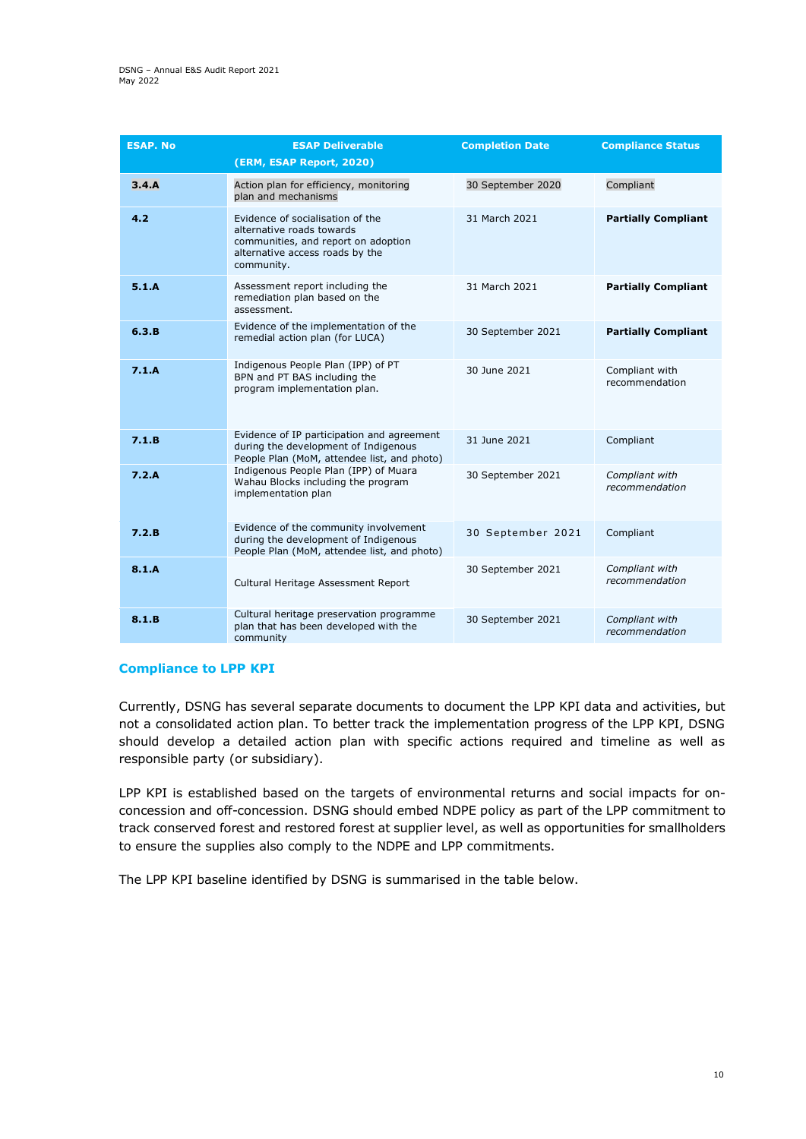| <b>ESAP. No</b> | <b>ESAP Deliverable</b><br>(ERM, ESAP Report, 2020)                                                                                                   | <b>Completion Date</b> | <b>Compliance Status</b>         |
|-----------------|-------------------------------------------------------------------------------------------------------------------------------------------------------|------------------------|----------------------------------|
| 3.4.A           | Action plan for efficiency, monitoring<br>plan and mechanisms                                                                                         | 30 September 2020      | Compliant                        |
| 4.2             | Evidence of socialisation of the<br>alternative roads towards<br>communities, and report on adoption<br>alternative access roads by the<br>community. | 31 March 2021          | <b>Partially Compliant</b>       |
| 5.1.A           | Assessment report including the<br>remediation plan based on the<br>assessment.                                                                       | 31 March 2021          | <b>Partially Compliant</b>       |
| 6.3.B           | Evidence of the implementation of the<br>remedial action plan (for LUCA)                                                                              | 30 September 2021      | <b>Partially Compliant</b>       |
| 7.1.A           | Indigenous People Plan (IPP) of PT<br>BPN and PT BAS including the<br>program implementation plan.                                                    | 30 June 2021           | Compliant with<br>recommendation |
| 7.1.B           | Evidence of IP participation and agreement<br>during the development of Indigenous<br>People Plan (MoM, attendee list, and photo)                     | 31 June 2021           | Compliant                        |
| 7.2.A           | Indigenous People Plan (IPP) of Muara<br>Wahau Blocks including the program<br>implementation plan                                                    | 30 September 2021      | Compliant with<br>recommendation |
| 7.2.B           | Evidence of the community involvement<br>during the development of Indigenous<br>People Plan (MoM, attendee list, and photo)                          | 30 September 2021      | Compliant                        |
| 8.1.A           | Cultural Heritage Assessment Report                                                                                                                   | 30 September 2021      | Compliant with<br>recommendation |
| 8.1.B           | Cultural heritage preservation programme<br>plan that has been developed with the<br>community                                                        | 30 September 2021      | Compliant with<br>recommendation |

#### **Compliance to LPP KPI**

Currently, DSNG has several separate documents to document the LPP KPI data and activities, but not a consolidated action plan. To better track the implementation progress of the LPP KPI, DSNG should develop a detailed action plan with specific actions required and timeline as well as responsible party (or subsidiary).

LPP KPI is established based on the targets of environmental returns and social impacts for onconcession and off-concession. DSNG should embed NDPE policy as part of the LPP commitment to track conserved forest and restored forest at supplier level, as well as opportunities for smallholders to ensure the supplies also comply to the NDPE and LPP commitments.

The LPP KPI baseline identified by DSNG is summarised in the table below.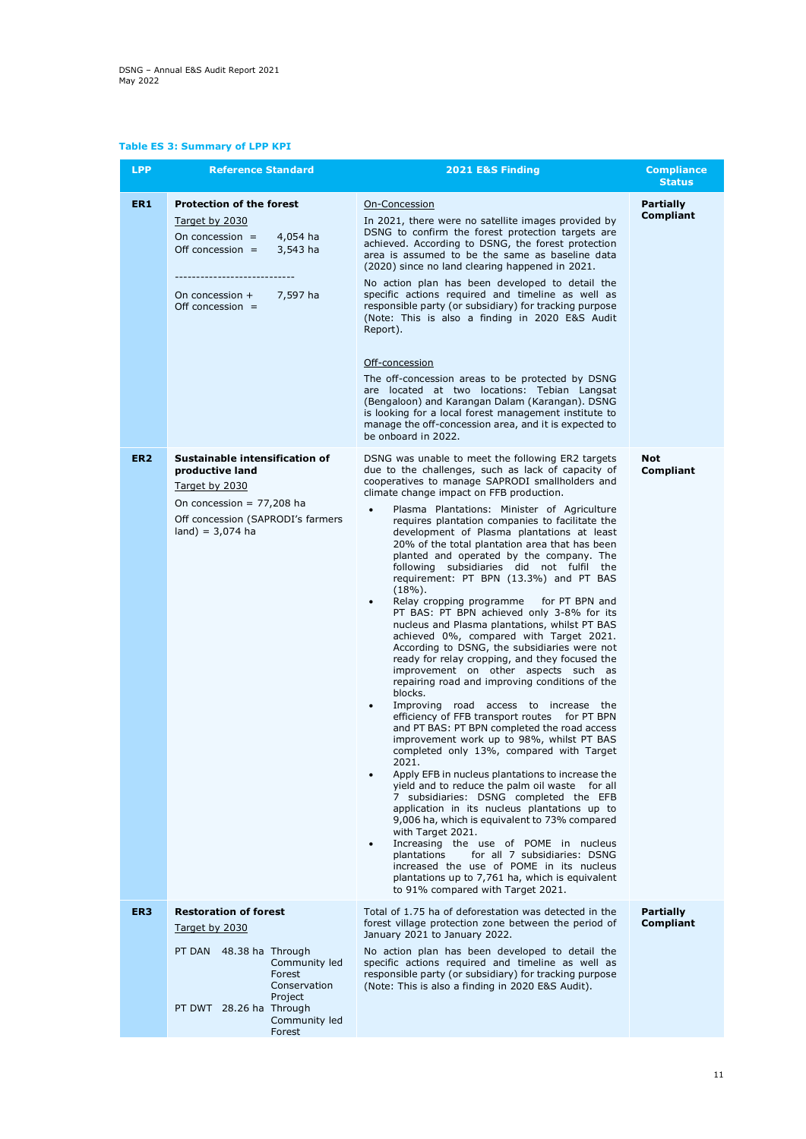## **Table ES 3: Summary of LPP KPI**

| <b>LPP</b>      | <b>Reference Standard</b>                                                                                                                                                             | 2021 E&S Finding                                                                                                                                                                                                                                                                                                                                                                                                                                                                                                                                                                                                                                                                                                                                                                                                                                                                                                                                                                                                                                                                                                                                                                                                                                                                                                                                                                                                                                                                                                                                                                                                                                                                                                                                            | <b>Compliance</b><br><b>Status</b>   |
|-----------------|---------------------------------------------------------------------------------------------------------------------------------------------------------------------------------------|-------------------------------------------------------------------------------------------------------------------------------------------------------------------------------------------------------------------------------------------------------------------------------------------------------------------------------------------------------------------------------------------------------------------------------------------------------------------------------------------------------------------------------------------------------------------------------------------------------------------------------------------------------------------------------------------------------------------------------------------------------------------------------------------------------------------------------------------------------------------------------------------------------------------------------------------------------------------------------------------------------------------------------------------------------------------------------------------------------------------------------------------------------------------------------------------------------------------------------------------------------------------------------------------------------------------------------------------------------------------------------------------------------------------------------------------------------------------------------------------------------------------------------------------------------------------------------------------------------------------------------------------------------------------------------------------------------------------------------------------------------------|--------------------------------------|
| ER <sub>1</sub> | <b>Protection of the forest</b><br>Target by 2030<br>On concession $=$<br>4,054 ha<br>Off concession $=$ 3,543 ha<br>7,597 ha<br>On concession $+$<br>Off concession $=$              | On-Concession<br>In 2021, there were no satellite images provided by<br>DSNG to confirm the forest protection targets are<br>achieved. According to DSNG, the forest protection<br>area is assumed to be the same as baseline data<br>(2020) since no land clearing happened in 2021.<br>No action plan has been developed to detail the<br>specific actions required and timeline as well as<br>responsible party (or subsidiary) for tracking purpose<br>(Note: This is also a finding in 2020 E&S Audit<br>Report).<br>Off-concession<br>The off-concession areas to be protected by DSNG<br>are located at two locations: Tebian Langsat<br>(Bengaloon) and Karangan Dalam (Karangan). DSNG<br>is looking for a local forest management institute to<br>manage the off-concession area, and it is expected to<br>be onboard in 2022.                                                                                                                                                                                                                                                                                                                                                                                                                                                                                                                                                                                                                                                                                                                                                                                                                                                                                                                    | <b>Partially</b><br>Compliant        |
| ER <sub>2</sub> | Sustainable intensification of<br>productive land<br>Target by 2030<br>On concession = $77,208$ ha<br>Off concession (SAPRODI's farmers<br>$land) = 3,074$ ha                         | DSNG was unable to meet the following ER2 targets<br>due to the challenges, such as lack of capacity of<br>cooperatives to manage SAPRODI smallholders and<br>climate change impact on FFB production.<br>Plasma Plantations: Minister of Agriculture<br>$\bullet$<br>requires plantation companies to facilitate the<br>development of Plasma plantations at least<br>20% of the total plantation area that has been<br>planted and operated by the company. The<br>following subsidiaries did not fulfil the<br>requirement: PT BPN (13.3%) and PT BAS<br>$(18\%)$ .<br>Relay cropping programme for PT BPN and<br>$\bullet$<br>PT BAS: PT BPN achieved only 3-8% for its<br>nucleus and Plasma plantations, whilst PT BAS<br>achieved 0%, compared with Target 2021.<br>According to DSNG, the subsidiaries were not<br>ready for relay cropping, and they focused the<br>improvement on other aspects such as<br>repairing road and improving conditions of the<br>blocks.<br>Improving road access to increase the<br>$\bullet$<br>efficiency of FFB transport routes for PT BPN<br>and PT BAS: PT BPN completed the road access<br>improvement work up to 98%, whilst PT BAS<br>completed only 13%, compared with Target<br>2021.<br>Apply EFB in nucleus plantations to increase the<br>٠<br>yield and to reduce the palm oil waste for all<br>7 subsidiaries: DSNG completed the EFB<br>application in its nucleus plantations up to<br>9,006 ha, which is equivalent to 73% compared<br>with Target 2021.<br>Increasing the use of POME in nucleus<br>$\bullet$<br>plantations<br>for all 7 subsidiaries: DSNG<br>increased the use of POME in its nucleus<br>plantations up to 7,761 ha, which is equivalent<br>to 91% compared with Target 2021. | <b>Not</b><br>Compliant              |
| ER <sub>3</sub> | <b>Restoration of forest</b><br>Target by 2030<br>PT DAN 48.38 ha Through<br>Community led<br>Forest<br>Conservation<br>Project<br>PT DWT 28.26 ha Through<br>Community led<br>Forest | Total of 1.75 ha of deforestation was detected in the<br>forest village protection zone between the period of<br>January 2021 to January 2022.<br>No action plan has been developed to detail the<br>specific actions required and timeline as well as<br>responsible party (or subsidiary) for tracking purpose<br>(Note: This is also a finding in 2020 E&S Audit).                                                                                                                                                                                                                                                                                                                                                                                                                                                                                                                                                                                                                                                                                                                                                                                                                                                                                                                                                                                                                                                                                                                                                                                                                                                                                                                                                                                       | <b>Partially</b><br><b>Compliant</b> |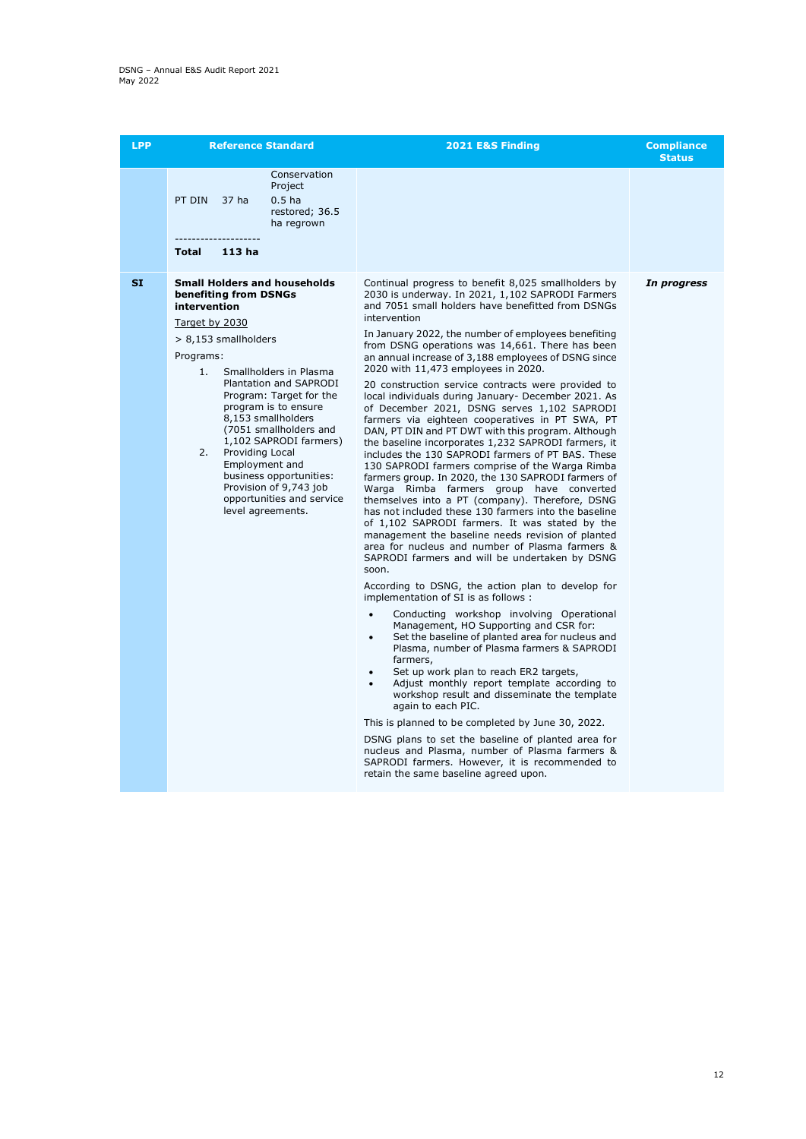| <b>LPP</b> | <b>Reference Standard</b>                                                                                                                                                                                                                                                                                                                                                                                                                                                    | 2021 E&S Finding                                                                                                                                                                                                                                                                                                                                                                                                                                                                                                                                                                                                                                                                                                                                                                                                                                                                                                                                                                                                                                                                                                                                                                                                                                                                                                                                                                                                                                                                                                                                                                                                                                                                                                                                                                                                                                                                                                                                                                                                           | <b>Compliance</b><br><b>Status</b> |
|------------|------------------------------------------------------------------------------------------------------------------------------------------------------------------------------------------------------------------------------------------------------------------------------------------------------------------------------------------------------------------------------------------------------------------------------------------------------------------------------|----------------------------------------------------------------------------------------------------------------------------------------------------------------------------------------------------------------------------------------------------------------------------------------------------------------------------------------------------------------------------------------------------------------------------------------------------------------------------------------------------------------------------------------------------------------------------------------------------------------------------------------------------------------------------------------------------------------------------------------------------------------------------------------------------------------------------------------------------------------------------------------------------------------------------------------------------------------------------------------------------------------------------------------------------------------------------------------------------------------------------------------------------------------------------------------------------------------------------------------------------------------------------------------------------------------------------------------------------------------------------------------------------------------------------------------------------------------------------------------------------------------------------------------------------------------------------------------------------------------------------------------------------------------------------------------------------------------------------------------------------------------------------------------------------------------------------------------------------------------------------------------------------------------------------------------------------------------------------------------------------------------------------|------------------------------------|
|            | Conservation<br>Project<br>0.5 <sub>ha</sub><br>PT DIN<br>37 ha<br>restored; 36.5<br>ha regrown<br>--------------------                                                                                                                                                                                                                                                                                                                                                      |                                                                                                                                                                                                                                                                                                                                                                                                                                                                                                                                                                                                                                                                                                                                                                                                                                                                                                                                                                                                                                                                                                                                                                                                                                                                                                                                                                                                                                                                                                                                                                                                                                                                                                                                                                                                                                                                                                                                                                                                                            |                                    |
|            | 113 <sub>ha</sub><br>Total                                                                                                                                                                                                                                                                                                                                                                                                                                                   |                                                                                                                                                                                                                                                                                                                                                                                                                                                                                                                                                                                                                                                                                                                                                                                                                                                                                                                                                                                                                                                                                                                                                                                                                                                                                                                                                                                                                                                                                                                                                                                                                                                                                                                                                                                                                                                                                                                                                                                                                            |                                    |
| <b>SI</b>  | <b>Small Holders and households</b><br>benefiting from DSNGs<br>intervention<br>Target by 2030<br>> 8,153 smallholders<br>Programs:<br>1.<br>Smallholders in Plasma<br>Plantation and SAPRODI<br>Program: Target for the<br>program is to ensure<br>8.153 smallholders<br>(7051 smallholders and<br>1,102 SAPRODI farmers)<br>Providing Local<br>2.<br>Employment and<br>business opportunities:<br>Provision of 9,743 job<br>opportunities and service<br>level agreements. | Continual progress to benefit 8,025 smallholders by<br>2030 is underway. In 2021, 1,102 SAPRODI Farmers<br>and 7051 small holders have benefitted from DSNGs<br>intervention<br>In January 2022, the number of employees benefiting<br>from DSNG operations was 14,661. There has been<br>an annual increase of 3,188 employees of DSNG since<br>2020 with 11,473 employees in 2020.<br>20 construction service contracts were provided to<br>local individuals during January- December 2021. As<br>of December 2021, DSNG serves 1,102 SAPRODI<br>farmers via eighteen cooperatives in PT SWA, PT<br>DAN, PT DIN and PT DWT with this program, Although<br>the baseline incorporates 1,232 SAPRODI farmers, it<br>includes the 130 SAPRODI farmers of PT BAS. These<br>130 SAPRODI farmers comprise of the Warga Rimba<br>farmers group. In 2020, the 130 SAPRODI farmers of<br>Warga Rimba farmers group have converted<br>themselves into a PT (company). Therefore, DSNG<br>has not included these 130 farmers into the baseline<br>of 1,102 SAPRODI farmers. It was stated by the<br>management the baseline needs revision of planted<br>area for nucleus and number of Plasma farmers &<br>SAPRODI farmers and will be undertaken by DSNG<br>soon.<br>According to DSNG, the action plan to develop for<br>implementation of SI is as follows :<br>Conducting workshop involving Operational<br>$\bullet$<br>Management, HO Supporting and CSR for:<br>Set the baseline of planted area for nucleus and<br>$\bullet$<br>Plasma, number of Plasma farmers & SAPRODI<br>farmers,<br>Set up work plan to reach ER2 targets,<br>Adjust monthly report template according to<br>$\bullet$<br>workshop result and disseminate the template<br>again to each PIC.<br>This is planned to be completed by June 30, 2022.<br>DSNG plans to set the baseline of planted area for<br>nucleus and Plasma, number of Plasma farmers &<br>SAPRODI farmers. However, it is recommended to<br>retain the same baseline agreed upon. | In progress                        |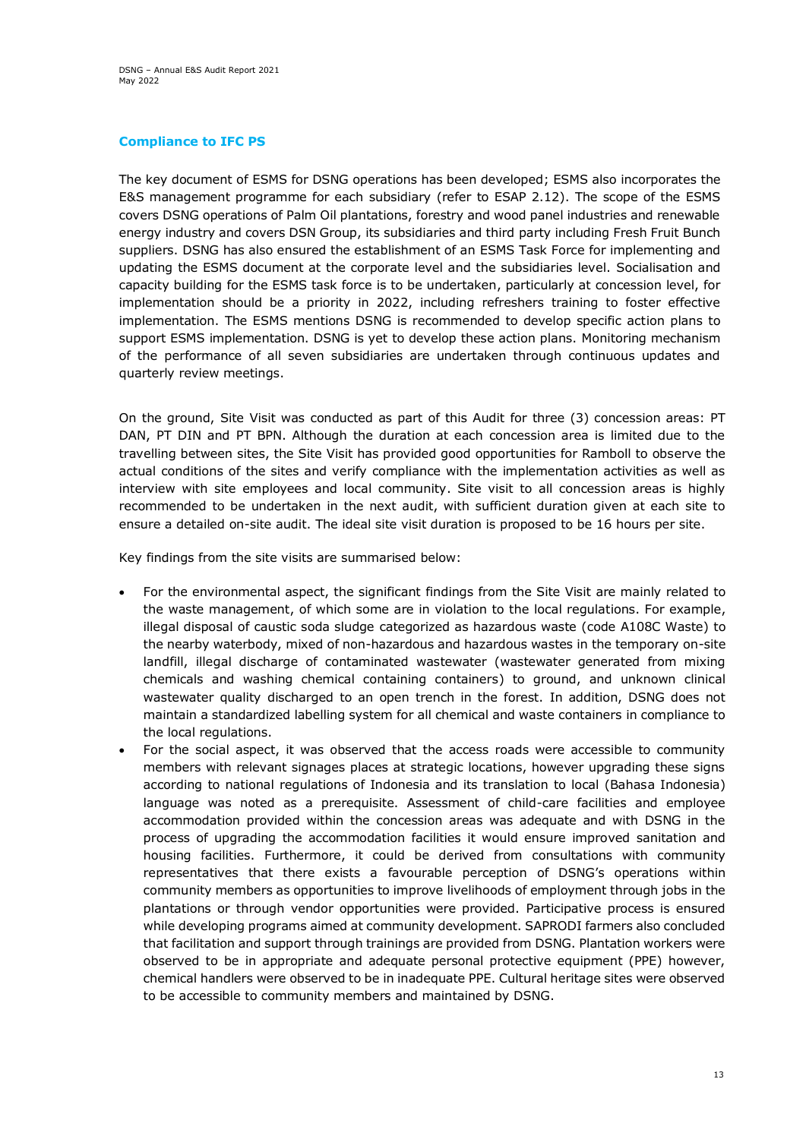## **Compliance to IFC PS**

The key document of ESMS for DSNG operations has been developed; ESMS also incorporates the E&S management programme for each subsidiary (refer to ESAP 2.12). The scope of the ESMS covers DSNG operations of Palm Oil plantations, forestry and wood panel industries and renewable energy industry and covers DSN Group, its subsidiaries and third party including Fresh Fruit Bunch suppliers. DSNG has also ensured the establishment of an ESMS Task Force for implementing and updating the ESMS document at the corporate level and the subsidiaries level. Socialisation and capacity building for the ESMS task force is to be undertaken, particularly at concession level, for implementation should be a priority in 2022, including refreshers training to foster effective implementation. The ESMS mentions DSNG is recommended to develop specific action plans to support ESMS implementation. DSNG is yet to develop these action plans. Monitoring mechanism of the performance of all seven subsidiaries are undertaken through continuous updates and quarterly review meetings.

On the ground, Site Visit was conducted as part of this Audit for three (3) concession areas: PT DAN, PT DIN and PT BPN. Although the duration at each concession area is limited due to the travelling between sites, the Site Visit has provided good opportunities for Ramboll to observe the actual conditions of the sites and verify compliance with the implementation activities as well as interview with site employees and local community. Site visit to all concession areas is highly recommended to be undertaken in the next audit, with sufficient duration given at each site to ensure a detailed on-site audit. The ideal site visit duration is proposed to be 16 hours per site.

Key findings from the site visits are summarised below:

- For the environmental aspect, the significant findings from the Site Visit are mainly related to the waste management, of which some are in violation to the local regulations. For example, illegal disposal of caustic soda sludge categorized as hazardous waste (code A108C Waste) to the nearby waterbody, mixed of non-hazardous and hazardous wastes in the temporary on-site landfill, illegal discharge of contaminated wastewater (wastewater generated from mixing chemicals and washing chemical containing containers) to ground, and unknown clinical wastewater quality discharged to an open trench in the forest. In addition, DSNG does not maintain a standardized labelling system for all chemical and waste containers in compliance to the local regulations.
- For the social aspect, it was observed that the access roads were accessible to community members with relevant signages places at strategic locations, however upgrading these signs according to national regulations of Indonesia and its translation to local (Bahasa Indonesia) language was noted as a prerequisite. Assessment of child-care facilities and employee accommodation provided within the concession areas was adequate and with DSNG in the process of upgrading the accommodation facilities it would ensure improved sanitation and housing facilities. Furthermore, it could be derived from consultations with community representatives that there exists a favourable perception of DSNG's operations within community members as opportunities to improve livelihoods of employment through jobs in the plantations or through vendor opportunities were provided. Participative process is ensured while developing programs aimed at community development. SAPRODI farmers also concluded that facilitation and support through trainings are provided from DSNG. Plantation workers were observed to be in appropriate and adequate personal protective equipment (PPE) however, chemical handlers were observed to be in inadequate PPE. Cultural heritage sites were observed to be accessible to community members and maintained by DSNG.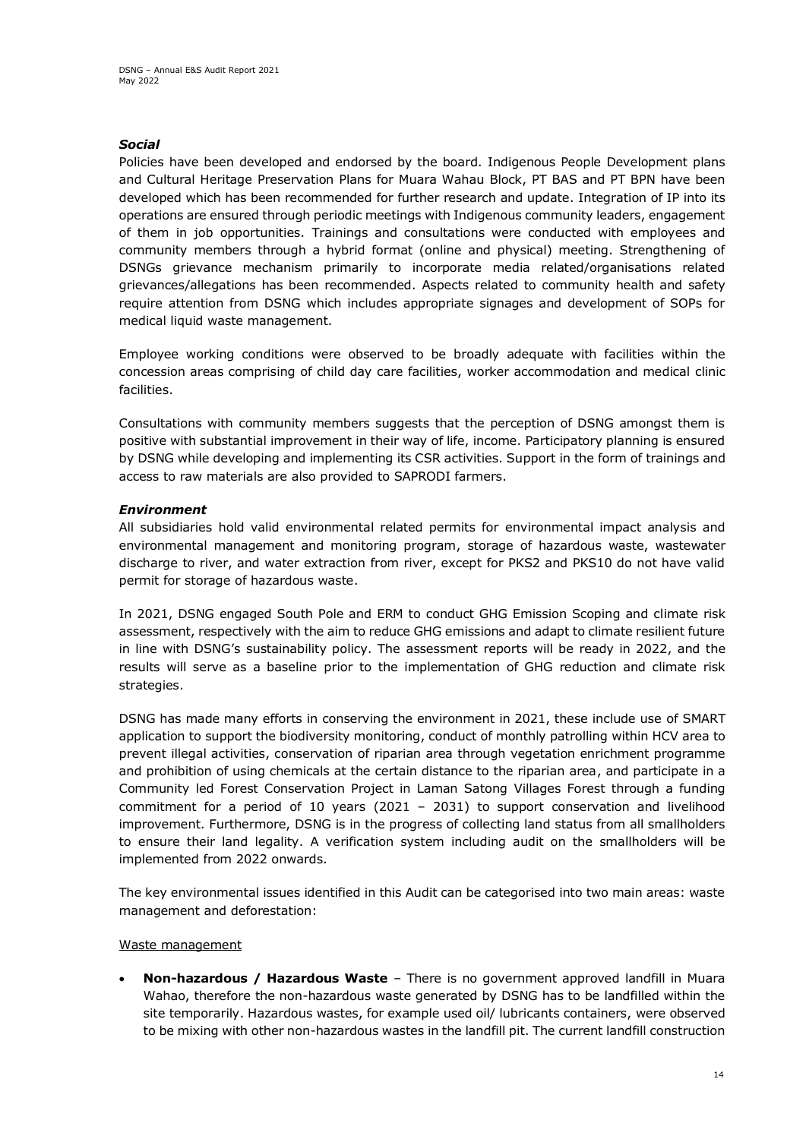## *Social*

Policies have been developed and endorsed by the board. Indigenous People Development plans and Cultural Heritage Preservation Plans for Muara Wahau Block, PT BAS and PT BPN have been developed which has been recommended for further research and update. Integration of IP into its operations are ensured through periodic meetings with Indigenous community leaders, engagement of them in job opportunities. Trainings and consultations were conducted with employees and community members through a hybrid format (online and physical) meeting. Strengthening of DSNGs grievance mechanism primarily to incorporate media related/organisations related grievances/allegations has been recommended. Aspects related to community health and safety require attention from DSNG which includes appropriate signages and development of SOPs for medical liquid waste management.

Employee working conditions were observed to be broadly adequate with facilities within the concession areas comprising of child day care facilities, worker accommodation and medical clinic facilities.

Consultations with community members suggests that the perception of DSNG amongst them is positive with substantial improvement in their way of life, income. Participatory planning is ensured by DSNG while developing and implementing its CSR activities. Support in the form of trainings and access to raw materials are also provided to SAPRODI farmers.

## *Environment*

All subsidiaries hold valid environmental related permits for environmental impact analysis and environmental management and monitoring program, storage of hazardous waste, wastewater discharge to river, and water extraction from river, except for PKS2 and PKS10 do not have valid permit for storage of hazardous waste.

In 2021, DSNG engaged South Pole and ERM to conduct GHG Emission Scoping and climate risk assessment, respectively with the aim to reduce GHG emissions and adapt to climate resilient future in line with DSNG's sustainability policy. The assessment reports will be ready in 2022, and the results will serve as a baseline prior to the implementation of GHG reduction and climate risk strategies.

DSNG has made many efforts in conserving the environment in 2021, these include use of SMART application to support the biodiversity monitoring, conduct of monthly patrolling within HCV area to prevent illegal activities, conservation of riparian area through vegetation enrichment programme and prohibition of using chemicals at the certain distance to the riparian area, and participate in a Community led Forest Conservation Project in Laman Satong Villages Forest through a funding commitment for a period of 10 years (2021 – 2031) to support conservation and livelihood improvement. Furthermore, DSNG is in the progress of collecting land status from all smallholders to ensure their land legality. A verification system including audit on the smallholders will be implemented from 2022 onwards.

The key environmental issues identified in this Audit can be categorised into two main areas: waste management and deforestation:

#### Waste management

• **Non-hazardous / Hazardous Waste** – There is no government approved landfill in Muara Wahao, therefore the non-hazardous waste generated by DSNG has to be landfilled within the site temporarily. Hazardous wastes, for example used oil/ lubricants containers, were observed to be mixing with other non-hazardous wastes in the landfill pit. The current landfill construction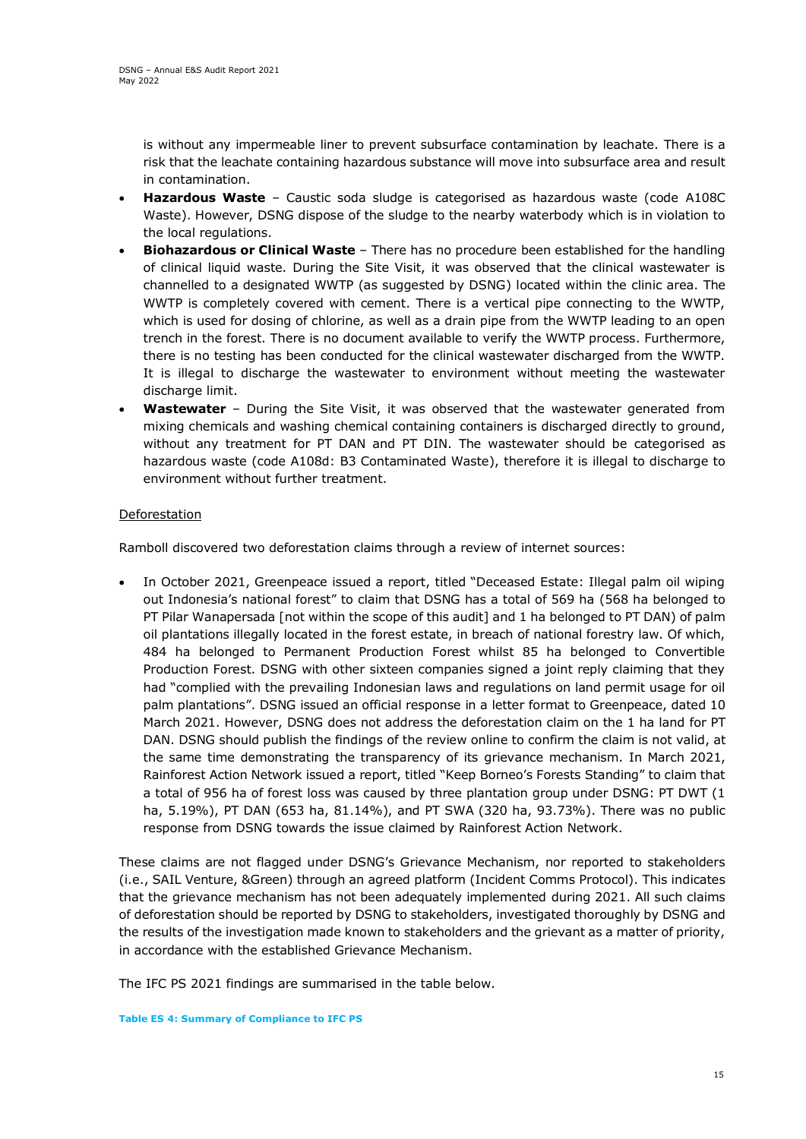is without any impermeable liner to prevent subsurface contamination by leachate. There is a risk that the leachate containing hazardous substance will move into subsurface area and result in contamination.

- **Hazardous Waste** Caustic soda sludge is categorised as hazardous waste (code A108C Waste). However, DSNG dispose of the sludge to the nearby waterbody which is in violation to the local regulations.
- **Biohazardous or Clinical Waste** There has no procedure been established for the handling of clinical liquid waste. During the Site Visit, it was observed that the clinical wastewater is channelled to a designated WWTP (as suggested by DSNG) located within the clinic area. The WWTP is completely covered with cement. There is a vertical pipe connecting to the WWTP, which is used for dosing of chlorine, as well as a drain pipe from the WWTP leading to an open trench in the forest. There is no document available to verify the WWTP process. Furthermore, there is no testing has been conducted for the clinical wastewater discharged from the WWTP. It is illegal to discharge the wastewater to environment without meeting the wastewater discharge limit.
- **Wastewater**  During the Site Visit, it was observed that the wastewater generated from mixing chemicals and washing chemical containing containers is discharged directly to ground, without any treatment for PT DAN and PT DIN. The wastewater should be categorised as hazardous waste (code A108d: B3 Contaminated Waste), therefore it is illegal to discharge to environment without further treatment.

## Deforestation

Ramboll discovered two deforestation claims through a review of internet sources:

• In October 2021, Greenpeace issued a report, titled "Deceased Estate: Illegal palm oil wiping out Indonesia's national forest" to claim that DSNG has a total of 569 ha (568 ha belonged to PT Pilar Wanapersada [not within the scope of this audit] and 1 ha belonged to PT DAN) of palm oil plantations illegally located in the forest estate, in breach of national forestry law. Of which, 484 ha belonged to Permanent Production Forest whilst 85 ha belonged to Convertible Production Forest. DSNG with other sixteen companies signed a joint reply claiming that they had "complied with the prevailing Indonesian laws and regulations on land permit usage for oil palm plantations". DSNG issued an official response in a letter format to Greenpeace, dated 10 March 2021. However, DSNG does not address the deforestation claim on the 1 ha land for PT DAN. DSNG should publish the findings of the review online to confirm the claim is not valid, at the same time demonstrating the transparency of its grievance mechanism. In March 2021, Rainforest Action Network issued a report, titled "Keep Borneo's Forests Standing" to claim that a total of 956 ha of forest loss was caused by three plantation group under DSNG: PT DWT (1 ha, 5.19%), PT DAN (653 ha, 81.14%), and PT SWA (320 ha, 93.73%). There was no public response from DSNG towards the issue claimed by Rainforest Action Network.

These claims are not flagged under DSNG's Grievance Mechanism, nor reported to stakeholders (i.e., SAIL Venture, &Green) through an agreed platform (Incident Comms Protocol). This indicates that the grievance mechanism has not been adequately implemented during 2021. All such claims of deforestation should be reported by DSNG to stakeholders, investigated thoroughly by DSNG and the results of the investigation made known to stakeholders and the grievant as a matter of priority, in accordance with the established Grievance Mechanism.

The IFC PS 2021 findings are summarised in the table below.